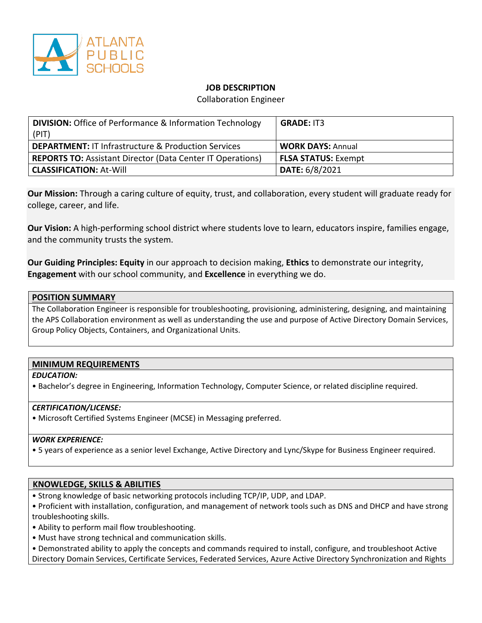

### **JOB DESCRIPTION**

Collaboration Engineer

| <b>DIVISION:</b> Office of Performance & Information Technology<br>(PIT) | <b>GRADE: IT3</b>          |
|--------------------------------------------------------------------------|----------------------------|
| <b>DEPARTMENT: IT Infrastructure &amp; Production Services</b>           | <b>WORK DAYS: Annual</b>   |
| <b>REPORTS TO: Assistant Director (Data Center IT Operations)</b>        | <b>FLSA STATUS: Exempt</b> |
| <b>CLASSIFICATION: At-Will</b>                                           | <b>DATE: 6/8/2021</b>      |

**Our Mission:** Through a caring culture of equity, trust, and collaboration, every student will graduate ready for college, career, and life.

**Our Vision:** A high-performing school district where students love to learn, educators inspire, families engage, and the community trusts the system.

**Our Guiding Principles: Equity** in our approach to decision making, **Ethics** to demonstrate our integrity, **Engagement** with our school community, and **Excellence** in everything we do.

### **POSITION SUMMARY**

The Collaboration Engineer is responsible for troubleshooting, provisioning, administering, designing, and maintaining the APS Collaboration environment as well as understanding the use and purpose of Active Directory Domain Services, Group Policy Objects, Containers, and Organizational Units.

# **MINIMUM REQUIREMENTS**

#### *EDUCATION:*

• Bachelor's degree in Engineering, Information Technology, Computer Science, or related discipline required.

#### *CERTIFICATION/LICENSE:*

• Microsoft Certified Systems Engineer (MCSE) in Messaging preferred.

#### *WORK EXPERIENCE:*

• 5 years of experience as a senior level Exchange, Active Directory and Lync/Skype for Business Engineer required.

# **KNOWLEDGE, SKILLS & ABILITIES**

- Strong knowledge of basic networking protocols including TCP/IP, UDP, and LDAP.
- Proficient with installation, configuration, and management of network tools such as DNS and DHCP and have strong troubleshooting skills.
- Ability to perform mail flow troubleshooting.
- Must have strong technical and communication skills.
- Demonstrated ability to apply the concepts and commands required to install, configure, and troubleshoot Active Directory Domain Services, Certificate Services, Federated Services, Azure Active Directory Synchronization and Rights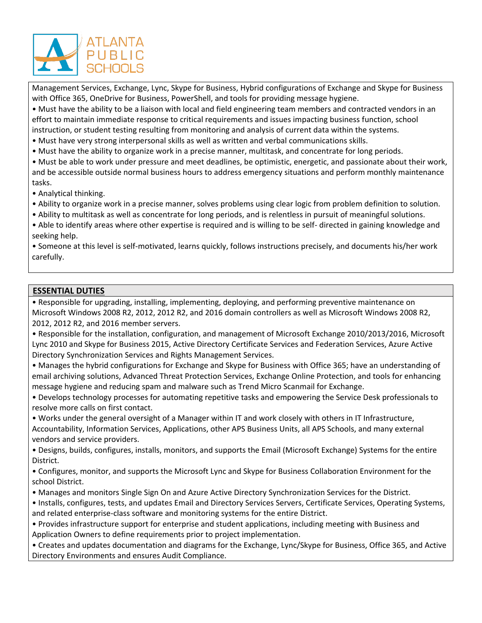

Management Services, Exchange, Lync, Skype for Business, Hybrid configurations of Exchange and Skype for Business with Office 365, OneDrive for Business, PowerShell, and tools for providing message hygiene.

• Must have the ability to be a liaison with local and field engineering team members and contracted vendors in an effort to maintain immediate response to critical requirements and issues impacting business function, school instruction, or student testing resulting from monitoring and analysis of current data within the systems.

• Must have very strong interpersonal skills as well as written and verbal communications skills.

• Must have the ability to organize work in a precise manner, multitask, and concentrate for long periods.

• Must be able to work under pressure and meet deadlines, be optimistic, energetic, and passionate about their work, and be accessible outside normal business hours to address emergency situations and perform monthly maintenance tasks.

• Analytical thinking.

• Ability to organize work in a precise manner, solves problems using clear logic from problem definition to solution.

• Ability to multitask as well as concentrate for long periods, and is relentless in pursuit of meaningful solutions.

• Able to identify areas where other expertise is required and is willing to be self- directed in gaining knowledge and seeking help.

• Someone at this level is self-motivated, learns quickly, follows instructions precisely, and documents his/her work carefully.

### **ESSENTIAL DUTIES**

• Responsible for upgrading, installing, implementing, deploying, and performing preventive maintenance on Microsoft Windows 2008 R2, 2012, 2012 R2, and 2016 domain controllers as well as Microsoft Windows 2008 R2, 2012, 2012 R2, and 2016 member servers.

• Responsible for the installation, configuration, and management of Microsoft Exchange 2010/2013/2016, Microsoft Lync 2010 and Skype for Business 2015, Active Directory Certificate Services and Federation Services, Azure Active Directory Synchronization Services and Rights Management Services.

• Manages the hybrid configurations for Exchange and Skype for Business with Office 365; have an understanding of email archiving solutions, Advanced Threat Protection Services, Exchange Online Protection, and tools for enhancing message hygiene and reducing spam and malware such as Trend Micro Scanmail for Exchange.

• Develops technology processes for automating repetitive tasks and empowering the Service Desk professionals to resolve more calls on first contact.

• Works under the general oversight of a Manager within IT and work closely with others in IT Infrastructure, Accountability, Information Services, Applications, other APS Business Units, all APS Schools, and many external vendors and service providers.

• Designs, builds, configures, installs, monitors, and supports the Email (Microsoft Exchange) Systems for the entire District.

• Configures, monitor, and supports the Microsoft Lync and Skype for Business Collaboration Environment for the school District.

• Manages and monitors Single Sign On and Azure Active Directory Synchronization Services for the District.

• Installs, configures, tests, and updates Email and Directory Services Servers, Certificate Services, Operating Systems, and related enterprise-class software and monitoring systems for the entire District.

• Provides infrastructure support for enterprise and student applications, including meeting with Business and Application Owners to define requirements prior to project implementation.

• Creates and updates documentation and diagrams for the Exchange, Lync/Skype for Business, Office 365, and Active Directory Environments and ensures Audit Compliance.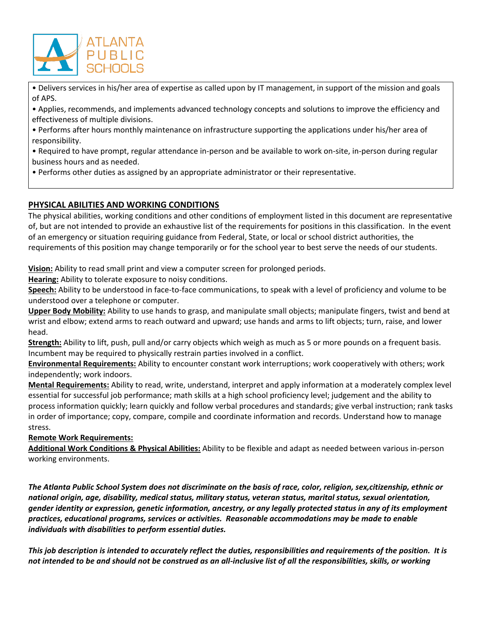

• Delivers services in his/her area of expertise as called upon by IT management, in support of the mission and goals of APS.

• Applies, recommends, and implements advanced technology concepts and solutions to improve the efficiency and effectiveness of multiple divisions.

• Performs after hours monthly maintenance on infrastructure supporting the applications under his/her area of responsibility.

• Required to have prompt, regular attendance in-person and be available to work on-site, in-person during regular business hours and as needed.

• Performs other duties as assigned by an appropriate administrator or their representative.

# **PHYSICAL ABILITIES AND WORKING CONDITIONS**

The physical abilities, working conditions and other conditions of employment listed in this document are representative of, but are not intended to provide an exhaustive list of the requirements for positions in this classification. In the event of an emergency or situation requiring guidance from Federal, State, or local or school district authorities, the requirements of this position may change temporarily or for the school year to best serve the needs of our students.

**Vision:** Ability to read small print and view a computer screen for prolonged periods.

**Hearing:** Ability to tolerate exposure to noisy conditions.

**Speech:** Ability to be understood in face-to-face communications, to speak with a level of proficiency and volume to be understood over a telephone or computer.

**Upper Body Mobility:** Ability to use hands to grasp, and manipulate small objects; manipulate fingers, twist and bend at wrist and elbow; extend arms to reach outward and upward; use hands and arms to lift objects; turn, raise, and lower head.

**Strength:** Ability to lift, push, pull and/or carry objects which weigh as much as 5 or more pounds on a frequent basis. Incumbent may be required to physically restrain parties involved in a conflict.

**Environmental Requirements:** Ability to encounter constant work interruptions; work cooperatively with others; work independently; work indoors.

**Mental Requirements:** Ability to read, write, understand, interpret and apply information at a moderately complex level essential for successful job performance; math skills at a high school proficiency level; judgement and the ability to process information quickly; learn quickly and follow verbal procedures and standards; give verbal instruction; rank tasks in order of importance; copy, compare, compile and coordinate information and records. Understand how to manage stress.

#### **Remote Work Requirements:**

**Additional Work Conditions & Physical Abilities:** Ability to be flexible and adapt as needed between various in-person working environments.

*The Atlanta Public School System does not discriminate on the basis of race, color, religion, sex,citizenship, ethnic or national origin, age, disability, medical status, military status, veteran status, marital status, sexual orientation, gender identity or expression, genetic information, ancestry, or any legally protected status in any of its employment practices, educational programs, services or activities. Reasonable accommodations may be made to enable individuals with disabilities to perform essential duties.* 

*This job description is intended to accurately reflect the duties, responsibilities and requirements of the position. It is not intended to be and should not be construed as an all-inclusive list of all the responsibilities, skills, or working*